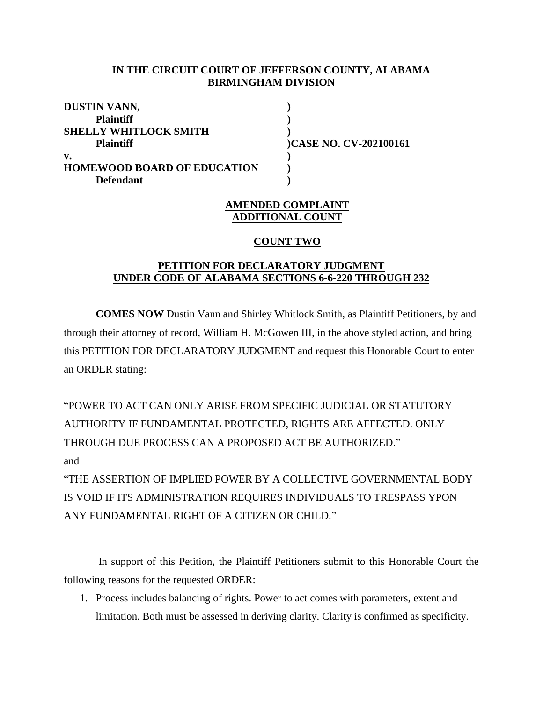### **IN THE CIRCUIT COURT OF JEFFERSON COUNTY, ALABAMA BIRMINGHAM DIVISION**

| DUSTIN VANN,                       |                        |
|------------------------------------|------------------------|
| <b>Plaintiff</b>                   |                        |
| <b>SHELLY WHITLOCK SMITH</b>       |                        |
| <b>Plaintiff</b>                   | )CASE NO. CV-202100161 |
| v.                                 |                        |
| <b>HOMEWOOD BOARD OF EDUCATION</b> |                        |
| <b>Defendant</b>                   |                        |

# **AMENDED COMPLAINT ADDITIONAL COUNT**

#### **COUNT TWO**

# **PETITION FOR DECLARATORY JUDGMENT UNDER CODE OF ALABAMA SECTIONS 6-6-220 THROUGH 232**

**COMES NOW** Dustin Vann and Shirley Whitlock Smith, as Plaintiff Petitioners, by and through their attorney of record, William H. McGowen III, in the above styled action, and bring this PETITION FOR DECLARATORY JUDGMENT and request this Honorable Court to enter an ORDER stating:

"POWER TO ACT CAN ONLY ARISE FROM SPECIFIC JUDICIAL OR STATUTORY AUTHORITY IF FUNDAMENTAL PROTECTED, RIGHTS ARE AFFECTED. ONLY THROUGH DUE PROCESS CAN A PROPOSED ACT BE AUTHORIZED." and "THE ASSERTION OF IMPLIED POWER BY A COLLECTIVE GOVERNMENTAL BODY

IS VOID IF ITS ADMINISTRATION REQUIRES INDIVIDUALS TO TRESPASS YPON ANY FUNDAMENTAL RIGHT OF A CITIZEN OR CHILD."

In support of this Petition, the Plaintiff Petitioners submit to this Honorable Court the following reasons for the requested ORDER:

1. Process includes balancing of rights. Power to act comes with parameters, extent and limitation. Both must be assessed in deriving clarity. Clarity is confirmed as specificity.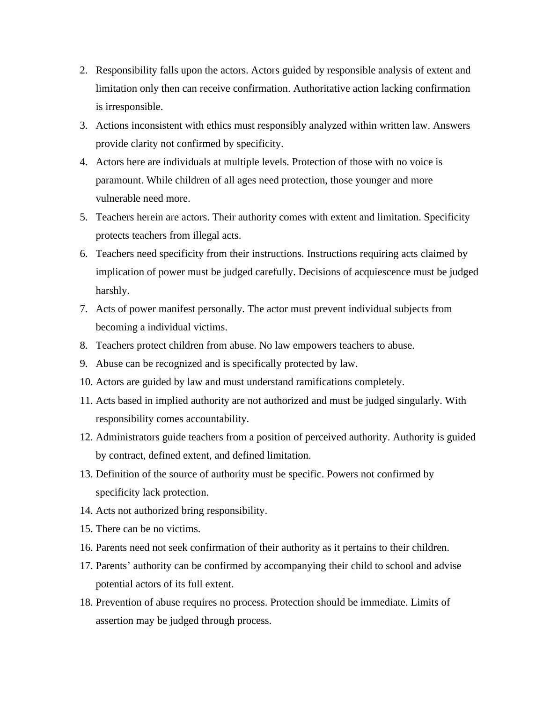- 2. Responsibility falls upon the actors. Actors guided by responsible analysis of extent and limitation only then can receive confirmation. Authoritative action lacking confirmation is irresponsible.
- 3. Actions inconsistent with ethics must responsibly analyzed within written law. Answers provide clarity not confirmed by specificity.
- 4. Actors here are individuals at multiple levels. Protection of those with no voice is paramount. While children of all ages need protection, those younger and more vulnerable need more.
- 5. Teachers herein are actors. Their authority comes with extent and limitation. Specificity protects teachers from illegal acts.
- 6. Teachers need specificity from their instructions. Instructions requiring acts claimed by implication of power must be judged carefully. Decisions of acquiescence must be judged harshly.
- 7. Acts of power manifest personally. The actor must prevent individual subjects from becoming a individual victims.
- 8. Teachers protect children from abuse. No law empowers teachers to abuse.
- 9. Abuse can be recognized and is specifically protected by law.
- 10. Actors are guided by law and must understand ramifications completely.
- 11. Acts based in implied authority are not authorized and must be judged singularly. With responsibility comes accountability.
- 12. Administrators guide teachers from a position of perceived authority. Authority is guided by contract, defined extent, and defined limitation.
- 13. Definition of the source of authority must be specific. Powers not confirmed by specificity lack protection.
- 14. Acts not authorized bring responsibility.
- 15. There can be no victims.
- 16. Parents need not seek confirmation of their authority as it pertains to their children.
- 17. Parents' authority can be confirmed by accompanying their child to school and advise potential actors of its full extent.
- 18. Prevention of abuse requires no process. Protection should be immediate. Limits of assertion may be judged through process.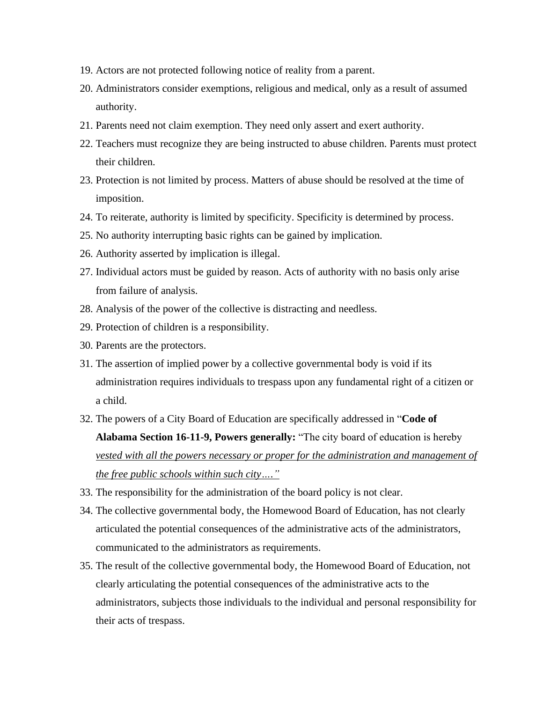- 19. Actors are not protected following notice of reality from a parent.
- 20. Administrators consider exemptions, religious and medical, only as a result of assumed authority.
- 21. Parents need not claim exemption. They need only assert and exert authority.
- 22. Teachers must recognize they are being instructed to abuse children. Parents must protect their children.
- 23. Protection is not limited by process. Matters of abuse should be resolved at the time of imposition.
- 24. To reiterate, authority is limited by specificity. Specificity is determined by process.
- 25. No authority interrupting basic rights can be gained by implication.
- 26. Authority asserted by implication is illegal.
- 27. Individual actors must be guided by reason. Acts of authority with no basis only arise from failure of analysis.
- 28. Analysis of the power of the collective is distracting and needless.
- 29. Protection of children is a responsibility.
- 30. Parents are the protectors.
- 31. The assertion of implied power by a collective governmental body is void if its administration requires individuals to trespass upon any fundamental right of a citizen or a child.
- 32. The powers of a City Board of Education are specifically addressed in "**Code of Alabama Section 16-11-9, Powers generally:** "The city board of education is hereby *vested with all the powers necessary or proper for the administration and management of the free public schools within such city…."*
- 33. The responsibility for the administration of the board policy is not clear.
- 34. The collective governmental body, the Homewood Board of Education, has not clearly articulated the potential consequences of the administrative acts of the administrators, communicated to the administrators as requirements.
- 35. The result of the collective governmental body, the Homewood Board of Education, not clearly articulating the potential consequences of the administrative acts to the administrators, subjects those individuals to the individual and personal responsibility for their acts of trespass.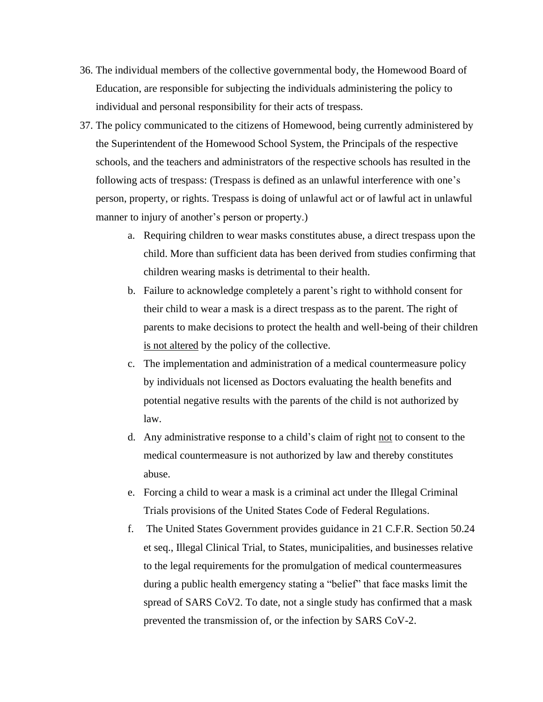- 36. The individual members of the collective governmental body, the Homewood Board of Education, are responsible for subjecting the individuals administering the policy to individual and personal responsibility for their acts of trespass.
- 37. The policy communicated to the citizens of Homewood, being currently administered by the Superintendent of the Homewood School System, the Principals of the respective schools, and the teachers and administrators of the respective schools has resulted in the following acts of trespass: (Trespass is defined as an unlawful interference with one's person, property, or rights. Trespass is doing of unlawful act or of lawful act in unlawful manner to injury of another's person or property.)
	- a. Requiring children to wear masks constitutes abuse, a direct trespass upon the child. More than sufficient data has been derived from studies confirming that children wearing masks is detrimental to their health.
	- b. Failure to acknowledge completely a parent's right to withhold consent for their child to wear a mask is a direct trespass as to the parent. The right of parents to make decisions to protect the health and well-being of their children is not altered by the policy of the collective.
	- c. The implementation and administration of a medical countermeasure policy by individuals not licensed as Doctors evaluating the health benefits and potential negative results with the parents of the child is not authorized by law.
	- d. Any administrative response to a child's claim of right not to consent to the medical countermeasure is not authorized by law and thereby constitutes abuse.
	- e. Forcing a child to wear a mask is a criminal act under the Illegal Criminal Trials provisions of the United States Code of Federal Regulations.
	- f. The United States Government provides guidance in 21 C.F.R. Section 50.24 et seq., Illegal Clinical Trial, to States, municipalities, and businesses relative to the legal requirements for the promulgation of medical countermeasures during a public health emergency stating a "belief" that face masks limit the spread of SARS CoV2. To date, not a single study has confirmed that a mask prevented the transmission of, or the infection by SARS CoV-2.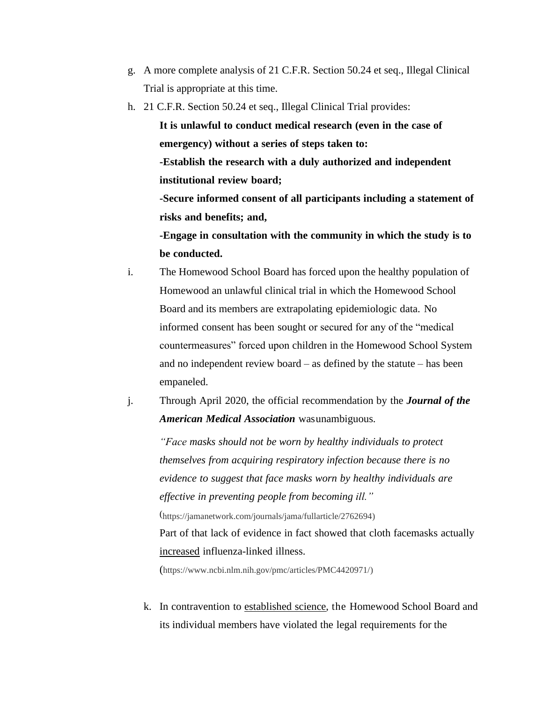- g. A more complete analysis of 21 C.F.R. Section 50.24 et seq., Illegal Clinical Trial is appropriate at this time.
- h. 21 C.F.R. Section 50.24 et seq., Illegal Clinical Trial provides:

**It is unlawful to conduct medical research (even in the case of emergency) without a series of steps taken to:**

**-Establish the research with a duly authorized and independent institutional review board;**

**-Secure informed consent of all participants including a statement of risks and benefits; and,**

**-Engage in consultation with the community in which the study is to be conducted.**

- i. The Homewood School Board has forced upon the healthy population of Homewood an unlawful clinical trial in which the Homewood School Board and its members are extrapolating epidemiologic data. No informed consent has been sought or secured for any of the "medical countermeasures" forced upon children in the Homewood School System and no independent review board – as defined by the statute – has been empaneled.
- j. Through April 2020, the official recommendation by the *Journal of the American Medical Association* wasunambiguous.

*"Face masks should not be worn by healthy individuals to protect themselves from acquiring respiratory infection because there is no evidence to suggest that face masks worn by healthy individuals are effective in preventing people from becoming ill."* (https://jamanetwork.com/journals/jama/fullarticle/2762694) Part of that lack of evidence in fact showed that cloth facemasks actually increased influenza-linked illness.

(https:/[/www.ncbi.nlm.nih.gov/pmc/articles/PMC4420971/\)](http://www.ncbi.nlm.nih.gov/pmc/articles/PMC4420971/)

k. In contravention to established science, the Homewood School Board and its individual members have violated the legal requirements for the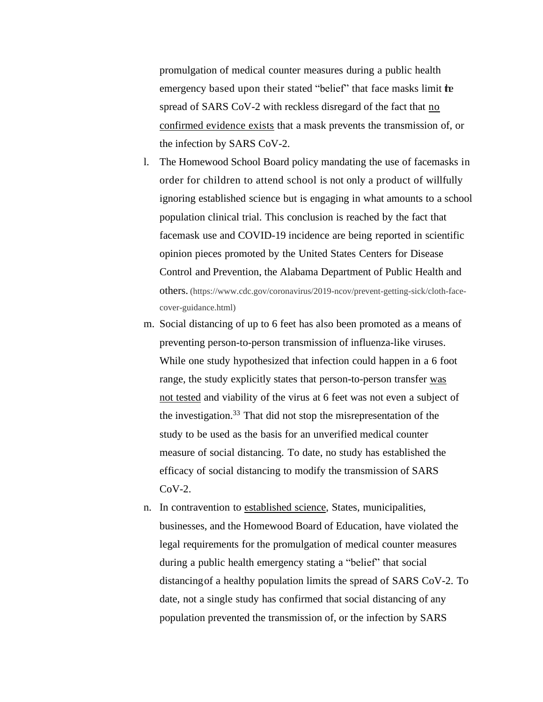promulgation of medical counter measures during a public health emergency based upon their stated "belief" that face masks limit the spread of SARS CoV-2 with reckless disregard of the fact that no confirmed evidence exists that a mask prevents the transmission of, or the infection by SARS CoV-2.

- l. The Homewood School Board policy mandating the use of facemasks in order for children to attend school is not only a product of willfully ignoring established science but is engaging in what amounts to a school population clinical trial. This conclusion is reached by the fact that facemask use and COVID-19 incidence are being reported in scientific opinion pieces promoted by the United States Centers for Disease Control and Prevention, the Alabama Department of Public Health and others. (https:/[/www.cdc.gov/coronavirus/2019-ncov/prevent-getting-sick/cloth-face](http://www.cdc.gov/coronavirus/2019-ncov/prevent-getting-sick/cloth-face-cover-guidance.html)[cover-guidance.html\)](http://www.cdc.gov/coronavirus/2019-ncov/prevent-getting-sick/cloth-face-cover-guidance.html)
- m. Social distancing of up to 6 feet has also been promoted as a means of preventing person-to-person transmission of influenza-like viruses. While one study hypothesized that infection could happen in a 6 foot range, the study explicitly states that person-to-person transfer was not tested and viability of the virus at 6 feet was not even a subject of the investigation. $33$  That did not stop the misrepresentation of the study to be used as the basis for an unverified medical counter measure of social distancing. To date, no study has established the efficacy of social distancing to modify the transmission of SARS  $CoV-2$ .
- n. In contravention to established science, States, municipalities, businesses, and the Homewood Board of Education, have violated the legal requirements for the promulgation of medical counter measures during a public health emergency stating a "belief" that social distancingof a healthy population limits the spread of SARS CoV-2. To date, not a single study has confirmed that social distancing of any population prevented the transmission of, or the infection by SARS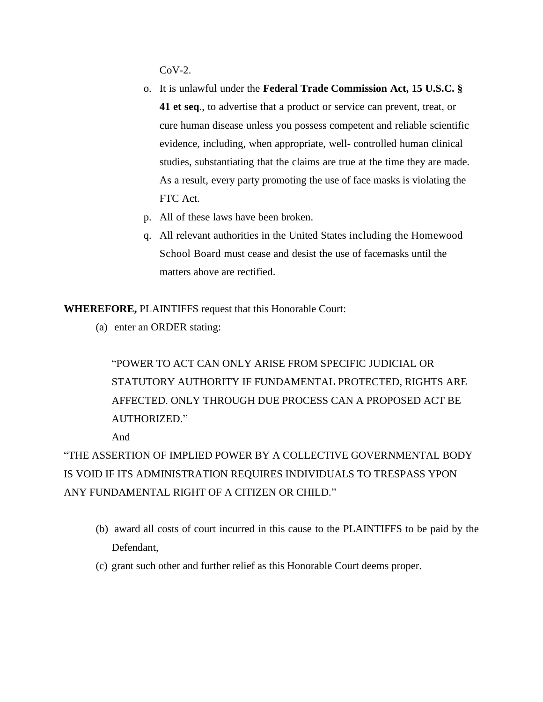$CoV-2$ .

- o. It is unlawful under the **Federal Trade Commission Act, 15 U.S.C. § 41 et seq**., to advertise that a product or service can prevent, treat, or cure human disease unless you possess competent and reliable scientific evidence, including, when appropriate, well- controlled human clinical studies, substantiating that the claims are true at the time they are made. As a result, every party promoting the use of face masks is violating the FTC Act.
- p. All of these laws have been broken.
- q. All relevant authorities in the United States including the Homewood School Board must cease and desist the use of facemasks until the matters above are rectified.

**WHEREFORE,** PLAINTIFFS request that this Honorable Court:

(a) enter an ORDER stating:

"POWER TO ACT CAN ONLY ARISE FROM SPECIFIC JUDICIAL OR STATUTORY AUTHORITY IF FUNDAMENTAL PROTECTED, RIGHTS ARE AFFECTED. ONLY THROUGH DUE PROCESS CAN A PROPOSED ACT BE AUTHORIZED."

And

"THE ASSERTION OF IMPLIED POWER BY A COLLECTIVE GOVERNMENTAL BODY IS VOID IF ITS ADMINISTRATION REQUIRES INDIVIDUALS TO TRESPASS YPON ANY FUNDAMENTAL RIGHT OF A CITIZEN OR CHILD."

- (b) award all costs of court incurred in this cause to the PLAINTIFFS to be paid by the Defendant,
- (c) grant such other and further relief as this Honorable Court deems proper.